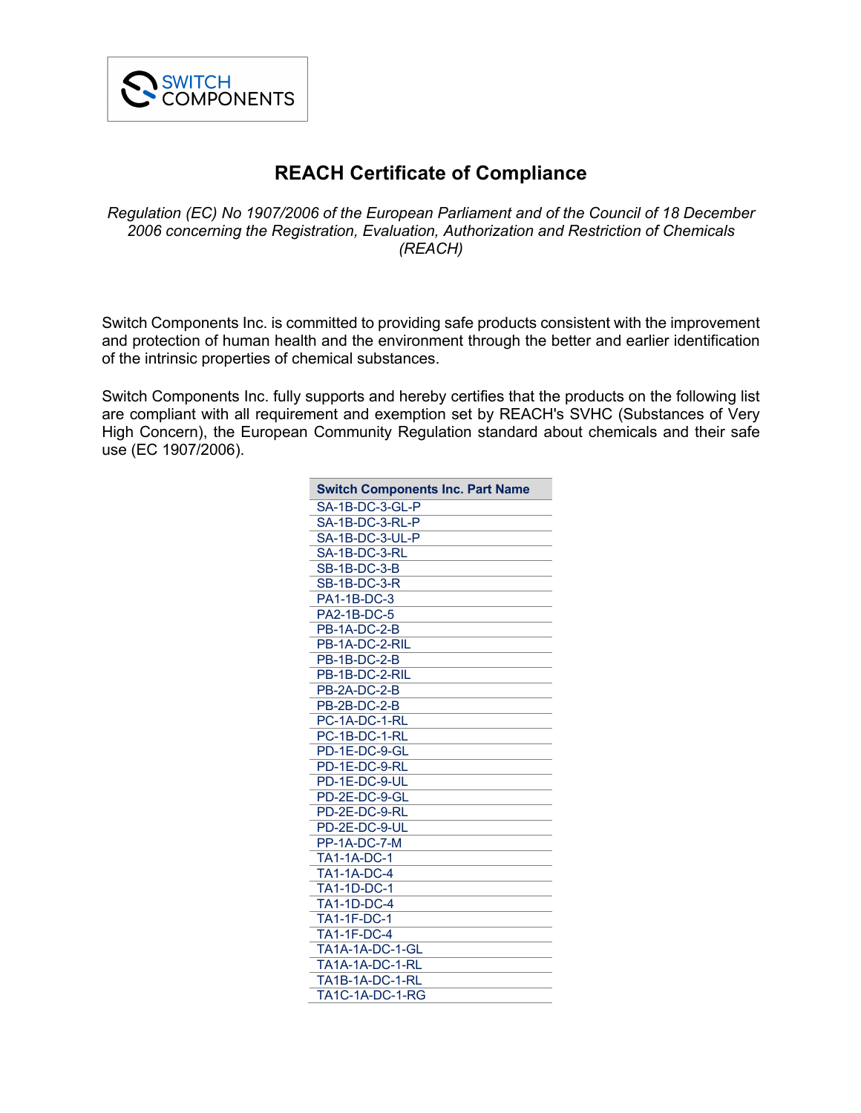

## **REACH Certificate of Compliance**

*Regulation (EC) No 1907/2006 of the European Parliament and of the Council of 18 December 2006 concerning the Registration, Evaluation, Authorization and Restriction of Chemicals (REACH)*

Switch Components Inc. is committed to providing safe products consistent with the improvement and protection of human health and the environment through the better and earlier identification of the intrinsic properties of chemical substances.

Switch Components Inc. fully supports and hereby certifies that the products on the following list are compliant with all requirement and exemption set by REACH's SVHC (Substances of Very High Concern), the European Community Regulation standard about chemicals and their safe use (EC 1907/2006).

| <b>Switch Components Inc. Part Name</b> |
|-----------------------------------------|
| SA-1B-DC-3-GL-P                         |
| SA-1B-DC-3-RL-P                         |
| SA-1B-DC-3-UL-P                         |
| SA-1B-DC-3-RL                           |
| <b>SB-1B-DC-3-B</b>                     |
| <b>SB-1B-DC-3-R</b>                     |
| PA1-1B-DC-3                             |
| <b>PA2-1B-DC-5</b>                      |
| <b>PB-1A-DC-2-B</b>                     |
| PB-1A-DC-2-RIL                          |
| <b>PB-1B-DC-2-B</b>                     |
| PB-1B-DC-2-RIL                          |
| <b>PB-2A-DC-2-B</b>                     |
| PB-2B-DC-2-B                            |
| PC-1A-DC-1-RL                           |
| PC-1B-DC-1-RL                           |
| PD-1E-DC-9-GL                           |
| PD-1E-DC-9-RL                           |
| PD-1E-DC-9-UL                           |
| PD-2E-DC-9-GL                           |
| PD-2E-DC-9-RL                           |
| PD-2E-DC-9-UL                           |
| PP-1A-DC-7-M                            |
| <b>TA1-1A-DC-1</b>                      |
| <b>TA1-1A-DC-4</b>                      |
| <b>TA1-1D-DC-1</b>                      |
| <b>TA1-1D-DC-4</b>                      |
| <b>TA1-1F-DC-1</b>                      |
| <b>TA1-1F-DC-4</b>                      |
| TA1A-1A-DC-1-GL                         |
| <b>TA1A-1A-DC-1-RL</b>                  |
| TA1B-1A-DC-1-RL                         |
| <b>TA1C-1A-DC-1-RG</b>                  |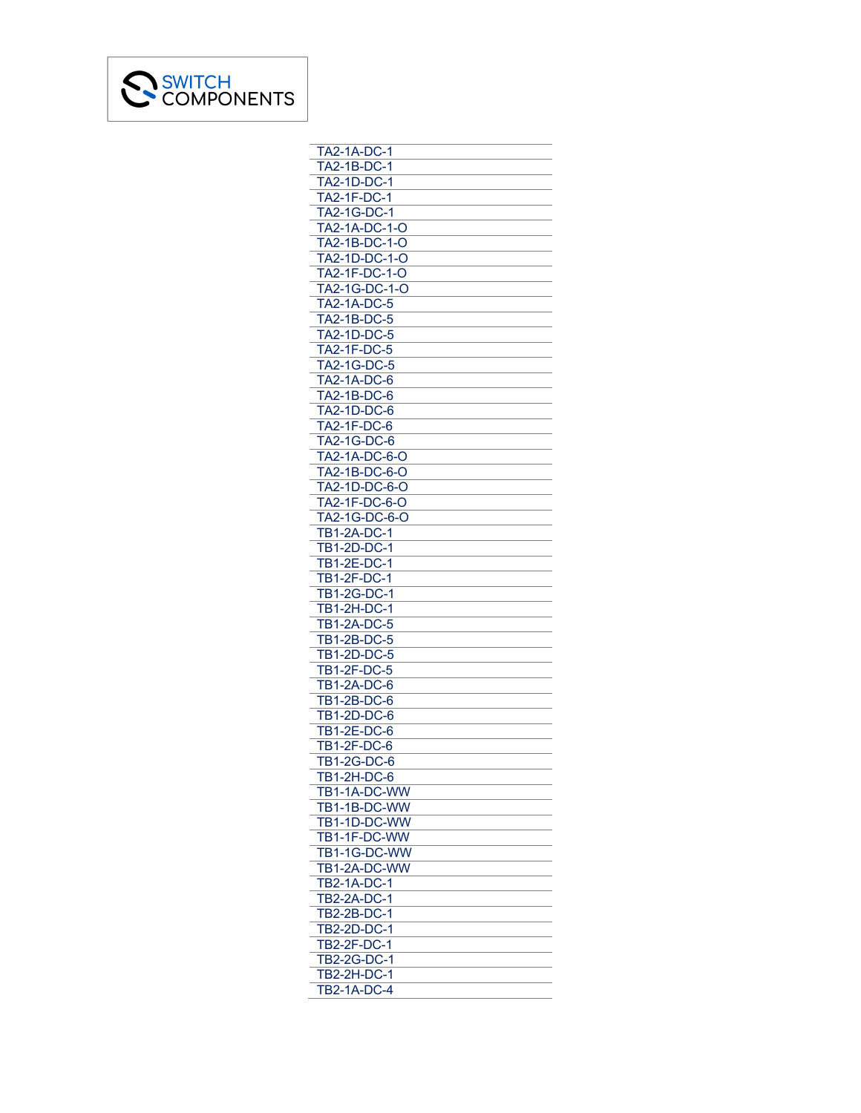

| <b>TA2-1A-DC-1</b>                       |
|------------------------------------------|
| TA2-1B-DC-1                              |
| TA2-1D-DC-1                              |
| <b>TA2-1F-DC-1</b>                       |
| TA2-1G-DC-1                              |
| TA2-1A-DC-1-O                            |
|                                          |
| TA2-1B-DC-1-O                            |
| TA2-1D-DC-1-O                            |
| TA2-1F-DC-1-O                            |
| TA2-1G-DC-1-O                            |
| <b>TA2-1A-DC-5</b>                       |
| TA2-1B-DC-5                              |
| TA2-1D-DC-5                              |
| TA2-1F-DC-5                              |
| TA2-1G-DC-5                              |
|                                          |
| <b>TA2-1A-DC-6</b>                       |
| TA2-1B-DC-6                              |
| <b>TA2-1D-DC-6</b>                       |
| TA2-1F-DC-6                              |
| TA2-1G-DC-6                              |
| TA2-1A-DC-6-O                            |
| TA2-1B-DC-6-O                            |
| TA2-1D-DC-6-O                            |
| TA2-1F-DC-6-O                            |
| TA2-1G-DC-6-O                            |
|                                          |
| <b>TB1-2A-DC-1</b>                       |
| <b>TB1-2D-DC-1</b>                       |
| <b>TB1-2E-DC-1</b>                       |
| TB1-2F-DC-1                              |
| TB1-2G-DC-1                              |
| <b>TB1-2H-DC-1</b>                       |
| <b>TB1-2A-DC-5</b>                       |
| <b>TB1-2B-DC-5</b>                       |
|                                          |
| TB1-2D-DC-5                              |
| <b>TB1-2F-DC-5</b>                       |
| <b>TB1-2A-DC-6</b>                       |
| <b>TB1-2B-DC-6</b>                       |
| TB1-2D-DC-6                              |
| <b>TB1-2E-DC-6</b>                       |
| TB1-2F-DC-6                              |
| TB1-2G-DC-6                              |
| <b>TB1-2H-DC-6</b>                       |
| TB1-1A-DC-WW                             |
|                                          |
| TB1-1B-DC-WW                             |
| TB1-1D-DC-WW                             |
| TB1-1F-DC-WW                             |
| TB1-1G-DC-WW                             |
| TB1-2A-DC-WW                             |
| <b>TB2-1A-DC-1</b>                       |
| TB2-2A-DC-1                              |
| <b>TB2-2B-DC-1</b>                       |
| TB2-2D-DC-1                              |
|                                          |
|                                          |
| <b>TB2-2F-DC-1</b>                       |
| TB2-2G-DC-1                              |
| <b>TB2-2H-DC-1</b><br><b>TB2-1A-DC-4</b> |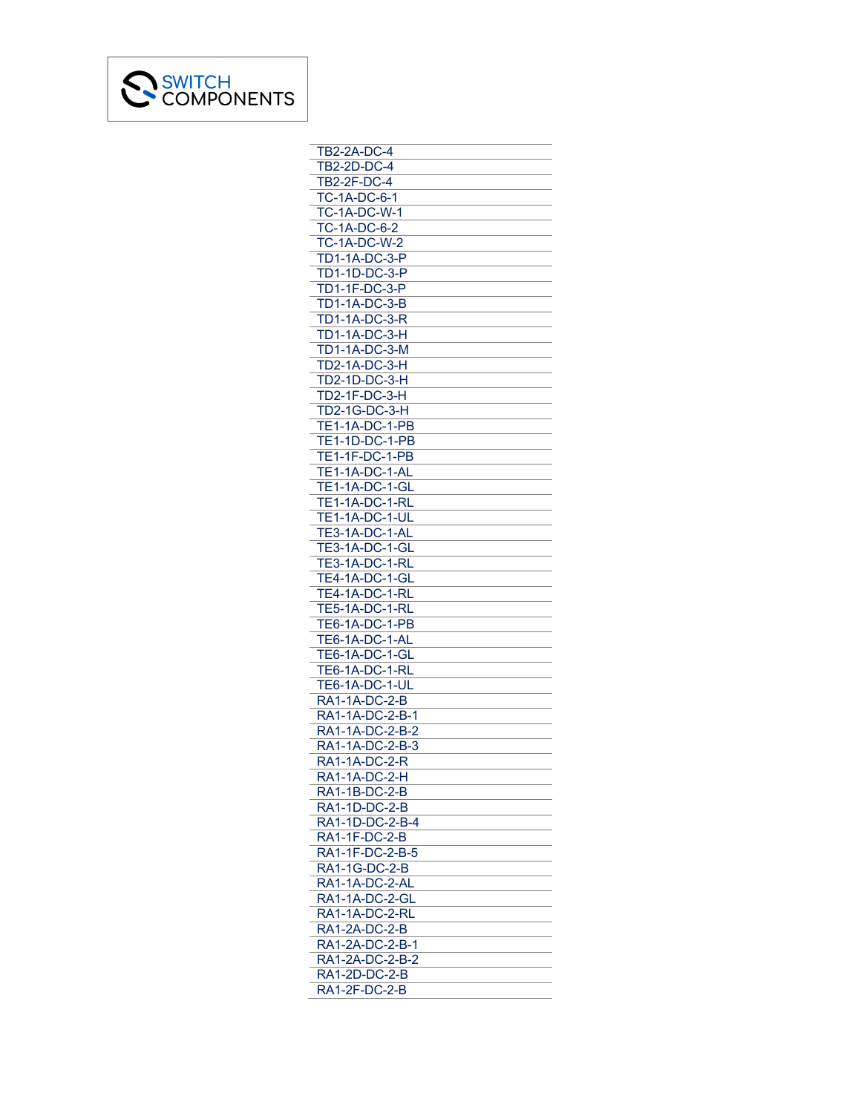

| <b>TB2-2A-DC-4</b>               |
|----------------------------------|
| <b>TB2-2D-DC-4</b>               |
| TB2-2F-DC-4                      |
| <b>TC-1A-DC-6-1</b>              |
| <b>TC-1A-DC-W-1</b>              |
| <b>TC-1A-DC-6-2</b>              |
|                                  |
| <b>TC-1A-DC-W-2</b>              |
| <b>TD1-1A-DC-3-P</b>             |
| <b>TD1-1D-DC-3-P</b>             |
| TD1-1F-DC-3-P                    |
| <b>TD1-1A-DC-3-B</b>             |
| TD1-1A-DC-3-R                    |
| <b>TD1-1A-DC-3-H</b>             |
| <b>TD1-1A-DC-3-M</b>             |
| <b>TD2-1A-DC-3-H</b>             |
| <b>TD2-1D-DC-3-H</b>             |
|                                  |
| TD2-1F-DC-3-H                    |
| TD2-1G-DC-3-H                    |
| TE1-1A-DC-1-PB                   |
| TE1-1D-DC-1-PB                   |
| <b>TE1-1F-DC-1-PB</b>            |
| <b>TE1-1A-DC-1-AL</b>            |
| TE1-1A-DC-1-GL                   |
| <b>TE1-1A-DC-1-RL</b>            |
| <b>TE1-1A-DC-1-UL</b>            |
| TE3-1A-DC-1-AL                   |
|                                  |
| TE3-1A-DC-1-GL                   |
| <b>TE3-1A-DC-1-RL</b>            |
| TE4-1A-DC-1-GL<br>TE4-1A-DC-1-RL |
|                                  |
| TE5-1A-DC-1-RL                   |
| <b>TE6-1A-DC-1-PB</b>            |
| TE6-1A-DC-1-AL                   |
|                                  |
| TE6-1A-DC-1-GL<br>TE6-1A-DC-1-RL |
| TE6-1A-DC-1-UL                   |
| <b>RA1-1A-DC-2-B</b>             |
|                                  |
| RA1-1A-DC-2-B-1                  |
| RA1-1A-DC-2-B-2                  |
| RA1-1A-DC-2-B-3                  |
| RA1-1A-DC-2-R                    |
| <b>RA1-1A-DC-2-H</b>             |
| RA1-1B-DC-2-B                    |
| RA1-1D-DC-2-B                    |
| RA1-1D-DC-2-B-4                  |
| RA1-1F-DC-2-B                    |
| RA1-1F-DC-2-B-5                  |
|                                  |
| RA1-1G-DC-2-B                    |
| RA1-1A-DC-2-AL                   |
| <b>RA1-1A-DC-2-GL</b>            |
| RA1-1A-DC-2-RL                   |
| RA1-2A-DC-2-B                    |
| RA1-2A-DC-2-B-1                  |
| RA1-2A-DC-2-B-2                  |
| <u>RA1-2D-DC-2-B</u>             |
| RA1-2F-DC-2-B                    |
|                                  |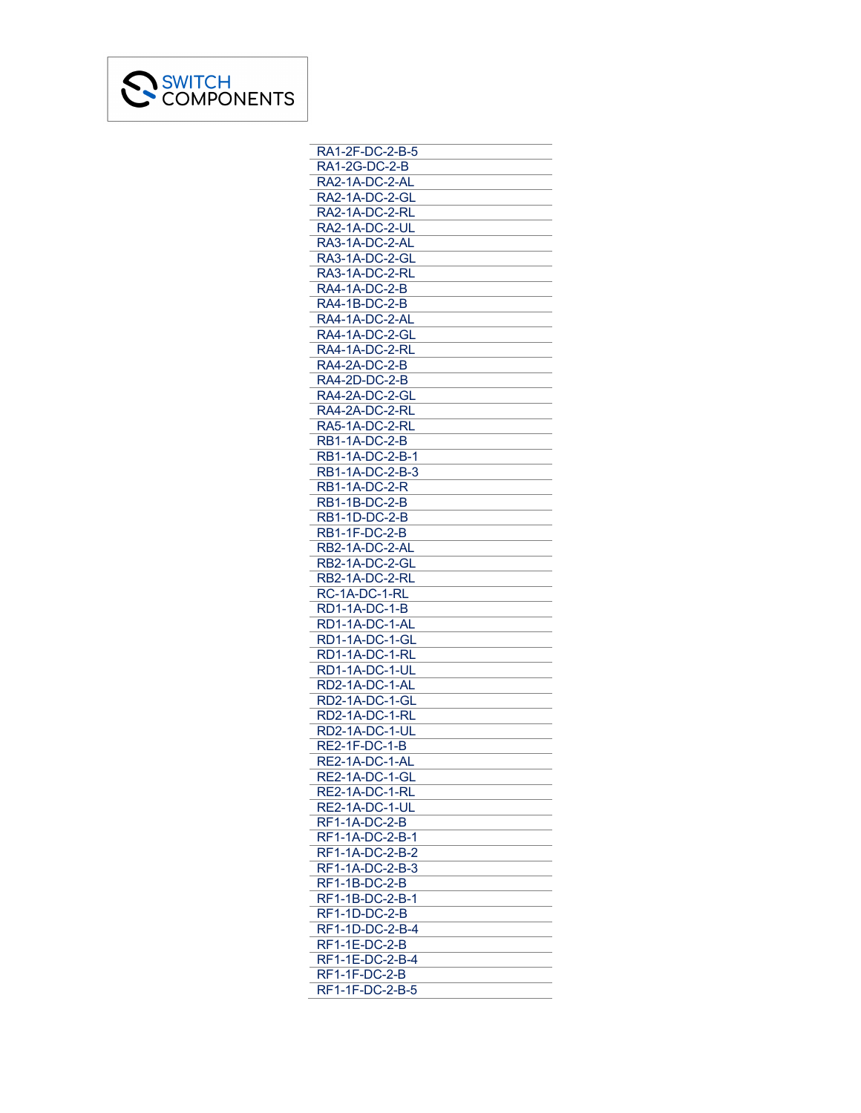

| RA1-2F-DC-2-B-5                    |
|------------------------------------|
| RA1-2G-DC-2-B                      |
| RA2-1A-DC-2-AL                     |
| RA2-1A-DC-2-GL                     |
| RA2-1A-DC-2-RL                     |
| RA2-1A-DC-2-UL                     |
| RA3-1A-DC-2-AL                     |
| RA3-1A-DC-2-GL                     |
| RA3-1A-DC-2-RL                     |
| <b>RA4-1A-DC-2-B</b>               |
| RA4-1B-DC-2-B                      |
| RA4-1A-DC-2-AL                     |
| RA4-1A-DC-2-GL                     |
| RA4-1A-DC-2-RL                     |
| RA4-2A-DC-2-B                      |
| <b>RA4-2D-DC-2-B</b>               |
| RA4-2A-DC-2-GL                     |
| RA4-2A-DC-2-RL                     |
| RA5-1A-DC-2-RL                     |
| <b>RB1-1A-DC-2-B</b>               |
| RB1-1A-DC-2-B-1                    |
|                                    |
| RB1-1A-DC-2-B-3                    |
| RB1-1A-DC-2-R                      |
| <b>RB1-1B-DC-2-B</b>               |
| <b>RB1-1D-DC-2-B</b>               |
| <b>RB1-1F-DC-2-B</b>               |
| RB2-1A-DC-2-AL                     |
|                                    |
| RB2-1A-DC-2-GL                     |
| RB2-1A-DC-2-RL                     |
| RC-1A-DC-1-RL                      |
| <b>RD1-1A-DC-1-B</b>               |
| RD1-1A-DC-1-AL                     |
| RD1-1A-DC-1-GL                     |
| RD1-1A-DC-1-RL                     |
| RD1-1A-DC-1-UL                     |
| RD2-1A-DC-1-AL                     |
| RD2-1A-DC-1-GL                     |
| RD2-1A-DC-1-RL                     |
| RD2-1A-DC-1-UL                     |
| <b>RE2-1F-DC-1-B</b>               |
| RE2-1A-DC-1-AL                     |
| RE2-1A-DC-1-GL                     |
|                                    |
| RE2-1A-DC-1-RL                     |
| RE2-1A-DC-1-UL                     |
| <b>RF1-1A-DC-2-B</b>               |
| RF1-1A-DC-2-B-1<br>RF1-1A-DC-2-B-2 |
|                                    |
| RF1-1A-DC-2-B-3                    |
| RF1-1B-DC-2-B                      |
| RF1-1B-DC-2-B-1                    |
| <b>RF1-1D-DC-2-B</b>               |
| RF1-1D-DC-2-B-4                    |
| RF1-1E-DC-2-B                      |
| RF1-1E-DC-2-B-4                    |
| RF1-1F-DC-2-B<br>RF1-1F-DC-2-B-5   |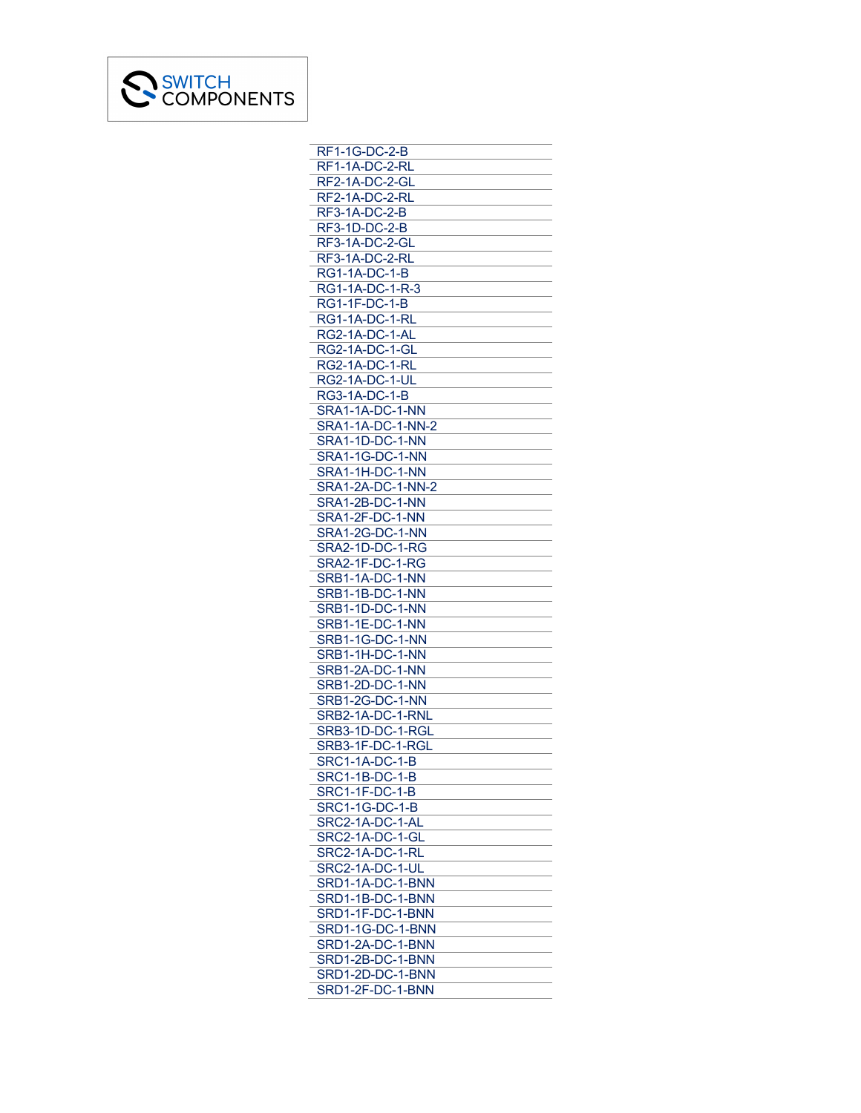

| RF1-1G-DC-2-B                    |
|----------------------------------|
| RF1-1A-DC-2-RL                   |
| RF2-1A-DC-2-GL                   |
| RF2-1A-DC-2-RL                   |
| RF3-1A-DC-2-B                    |
| <b>RF3-1D-DC-2-B</b>             |
| RF3-1A-DC-2-GL                   |
| RF3-1A-DC-2-RL                   |
| <b>RG1-1A-DC-1-B</b>             |
| RG1-1A-DC-1-R-3                  |
| <b>RG1-1F-DC-1-B</b>             |
| <b>RG1-1A-DC-1-RL</b>            |
|                                  |
| RG2-1A-DC-1-AL                   |
| RG2-1A-DC-1-GL<br>RG2-1A-DC-1-RL |
|                                  |
| <b>RG2-1A-DC-1-UL</b>            |
| RG3-1A-DC-1-B                    |
| SRA1-1A-DC-1-NN                  |
| SRA1-1A-DC-1-NN-2                |
| SRA1-1D-DC-1-NN                  |
| SRA1-1G-DC-1-NN                  |
| SRA1-1H-DC-1-NN                  |
| SRA1-2A-DC-1-NN-2                |
| SRA1-2B-DC-1-NN                  |
| SRA1-2F-DC-1-NN                  |
| SRA1-2G-DC-1-NN                  |
| SRA2-1D-DC-1-RG                  |
| SRA2-1F-DC-1-RG                  |
| <u>SRB1-1A-DC-1-NN</u>           |
| SRB1-1B-DC-1-NN                  |
| SRB1-1D-DC-1-NN                  |
| SRB1-1E-DC-1-NN                  |
| SRB1-1G-DC-1-NN                  |
| SRB1-1H-DC-1-NN                  |
| SRB1-2A-DC-1-NN                  |
| SRB1-2D-DC-1-NN                  |
| SRB1-2G-DC-1-NN                  |
|                                  |
| SRB2-1A-DC-1-RNL                 |
| SRB3-1D-DC-1-RGL                 |
| SRB3-1F-DC-1-RGL                 |
| <b>SRC1-1A-DC-1-B</b>            |
| <b>SRC1-1B-DC-1-B</b>            |
| SRC1-1F-DC-1-B                   |
| SRC1-1G-DC-1-B                   |
| SRC2-1A-DC-1-AL                  |
| SRC2-1A-DC-1-GL                  |
| SRC2-1A-DC-1-RL                  |
| SRC2-1A-DC-1-UL                  |
| SRD1-1A-DC-1-BNN                 |
| SRD1-1B-DC-1-BNN                 |
| SRD1-1F-DC-1-BNN                 |
| SRD1-1G-DC-1-BNN                 |
| SRD1-2A-DC-1-BNN                 |
| SRD1-2B-DC-1-BNN                 |
| SRD1-2D-DC-1-BNN                 |
| SRD1-2F-DC-1-BNN                 |
|                                  |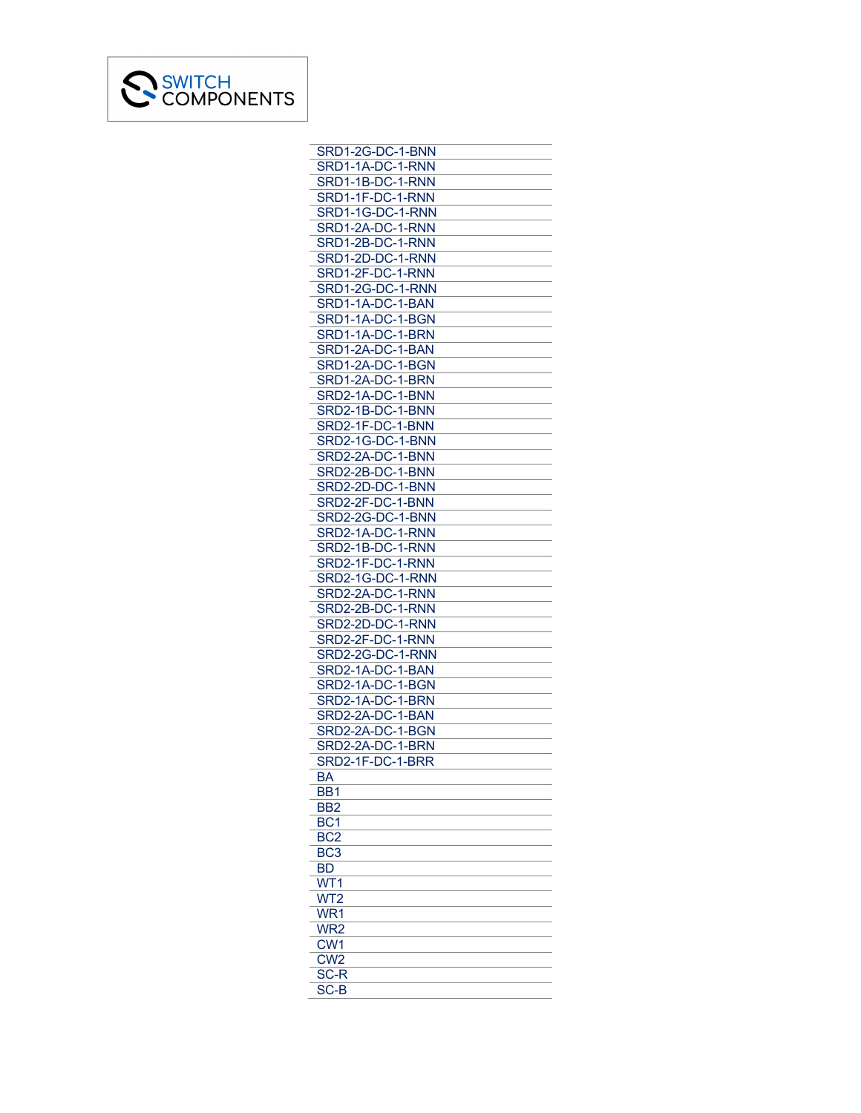

| SRD1-2G-DC-1-BNN                     |
|--------------------------------------|
| SRD1-1A-DC-1-RNN                     |
|                                      |
| SRD1-1B-DC-1-RNN<br>SRD1-1F-DC-1-RNN |
| SRD1-1G-DC-1-RNN                     |
|                                      |
| SRD1-2A-DC-1-RNN                     |
| SRD1-2B-DC-1-RNN                     |
|                                      |
| SRD1-2D-DC-1-RNN<br>SRD1-2F-DC-1-RNN |
| SRD1-2G-DC-1-RNN                     |
| SRD1-1A-DC-1-BAN                     |
| SRD1-1A-DC-1-BGN                     |
|                                      |
| SRD1-1A-DC-1-BRN                     |
| SRD1-2A-DC-1-BAN                     |
| SRD1-2A-DC-1-BGN                     |
| SRD1-2A-DC-1-BRN                     |
| SRD2-1A-DC-1-BNN                     |
| SRD2-1B-DC-1-BNN                     |
| SRD2-1F-DC-1-BNN                     |
| SRD2-1G-DC-1-BNN                     |
| SRD2-2A-DC-1-BNN                     |
|                                      |
| SRD2-2B-DC-1-BNN                     |
| SRD2-2D-DC-1-BNN                     |
| SRD2-2F-DC-1-BNN                     |
| SRD2-2G-DC-1-BNN                     |
| SRD2-1A-DC-1-RNN                     |
| SRD2-1B-DC-1-RNN                     |
| SRD2-1F-DC-1-RNN                     |
|                                      |
| SRD2-1G-DC-1-RNN                     |
| SRD2-2A-DC-1-RNN                     |
| SRD2-2B-DC-1-RNN                     |
| SRD2-2D-DC-1-RNN                     |
| SRD2-2F-DC-1-RNN                     |
| SRD2-2G-DC-1-RNN                     |
| SRD2-1A-DC-1-BAN                     |
| SRD2-1A-DC-1-BGN                     |
| SRD2-1A-DC-1-BRN                     |
|                                      |
| SRD2-2A-DC-1-BAN                     |
| SRD2-2A-DC-1-BGN                     |
| SRD2-2A-DC-1-BRN                     |
| SRD2-1F-DC-1-BRR                     |
| BA                                   |
| BB <sub>1</sub>                      |
| BB <sub>2</sub>                      |
| BC <sub>1</sub>                      |
|                                      |
| $\overline{BC2}$                     |
| BC <sub>3</sub>                      |
| BD                                   |
| $\overline{\text{WT}}$ 1             |
| WT <sub>2</sub>                      |
| WR1                                  |
| WR <sub>2</sub>                      |
| CW <sub>1</sub>                      |
|                                      |
| CW <sub>2</sub>                      |
| SC-R                                 |
| SC-B                                 |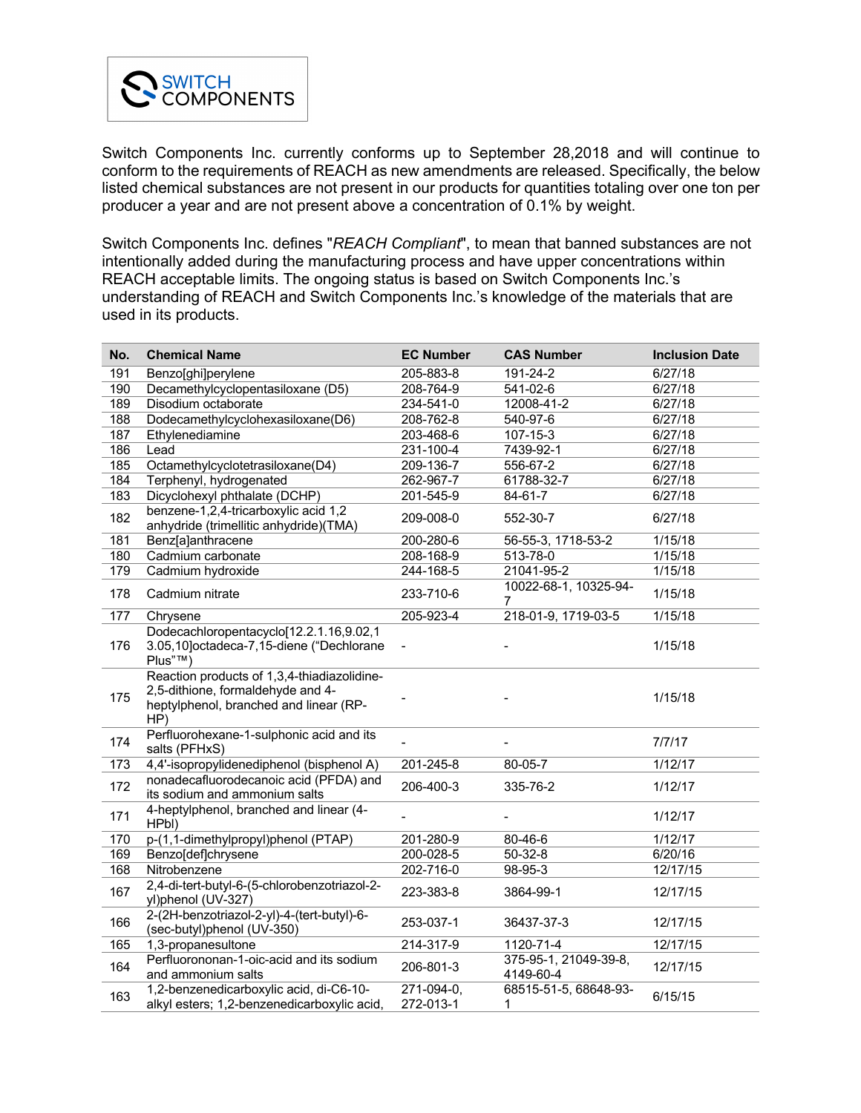

Switch Components Inc. currently conforms up to September 28,2018 and will continue to conform to the requirements of REACH as new amendments are released. Specifically, the below listed chemical substances are not present in our products for quantities totaling over one ton per producer a year and are not present above a concentration of 0.1% by weight.

Switch Components Inc. defines "*REACH Compliant*", to mean that banned substances are not intentionally added during the manufacturing process and have upper concentrations within REACH acceptable limits. The ongoing status is based on Switch Components Inc.'s understanding of REACH and Switch Components Inc.'s knowledge of the materials that are used in its products.

| No. | <b>Chemical Name</b>                                                                                                              | <b>EC Number</b>        | <b>CAS Number</b>                  | <b>Inclusion Date</b> |
|-----|-----------------------------------------------------------------------------------------------------------------------------------|-------------------------|------------------------------------|-----------------------|
| 191 | Benzo[ghi]perylene                                                                                                                | 205-883-8               | 191-24-2                           | 6/27/18               |
| 190 | Decamethylcyclopentasiloxane (D5)                                                                                                 | 208-764-9               | 541-02-6                           | 6/27/18               |
| 189 | Disodium octaborate                                                                                                               | 234-541-0               | 12008-41-2                         | 6/27/18               |
| 188 | Dodecamethylcyclohexasiloxane(D6)                                                                                                 | 208-762-8               | 540-97-6                           | 6/27/18               |
| 187 | Ethylenediamine                                                                                                                   | 203-468-6               | 107-15-3                           | 6/27/18               |
| 186 | Lead                                                                                                                              | 231-100-4               | 7439-92-1                          | 6/27/18               |
| 185 | Octamethylcyclotetrasiloxane(D4)                                                                                                  | 209-136-7               | 556-67-2                           | 6/27/18               |
| 184 | Terphenyl, hydrogenated                                                                                                           | 262-967-7               | 61788-32-7                         | 6/27/18               |
| 183 | Dicyclohexyl phthalate (DCHP)                                                                                                     | 201-545-9               | $84 - 61 - 7$                      | 6/27/18               |
| 182 | benzene-1,2,4-tricarboxylic acid 1,2<br>anhydride (trimellitic anhydride)(TMA)                                                    | 209-008-0               | 552-30-7                           | 6/27/18               |
| 181 | Benz[a]anthracene                                                                                                                 | 200-280-6               | 56-55-3, 1718-53-2                 | 1/15/18               |
| 180 | Cadmium carbonate                                                                                                                 | 208-168-9               | 513-78-0                           | 1/15/18               |
| 179 | Cadmium hydroxide                                                                                                                 | 244-168-5               | 21041-95-2                         | 1/15/18               |
| 178 | Cadmium nitrate                                                                                                                   | 233-710-6               | 10022-68-1, 10325-94-<br>7         | 1/15/18               |
| 177 | Chrysene                                                                                                                          | 205-923-4               | 218-01-9, 1719-03-5                | 1/15/18               |
| 176 | Dodecachloropentacyclo[12.2.1.16,9.02,1<br>3.05,10]octadeca-7,15-diene ("Dechlorane<br>$Plus"^{TM}$                               |                         |                                    | 1/15/18               |
| 175 | Reaction products of 1,3,4-thiadiazolidine-<br>2,5-dithione, formaldehyde and 4-<br>heptylphenol, branched and linear (RP-<br>HP) |                         |                                    | 1/15/18               |
| 174 | Perfluorohexane-1-sulphonic acid and its<br>salts (PFHxS)                                                                         |                         |                                    | 7/7/17                |
| 173 | 4,4'-isopropylidenediphenol (bisphenol A)                                                                                         | 201-245-8               | 80-05-7                            | 1/12/17               |
| 172 | nonadecafluorodecanoic acid (PFDA) and<br>its sodium and ammonium salts                                                           | 206-400-3               | 335-76-2                           | 1/12/17               |
| 171 | 4-heptylphenol, branched and linear (4-<br>HPbI)                                                                                  |                         |                                    | 1/12/17               |
| 170 | p-(1,1-dimethylpropyl)phenol (PTAP)                                                                                               | 201-280-9               | 80-46-6                            | 1/12/17               |
| 169 | Benzo[def]chrysene                                                                                                                | 200-028-5               | $50 - 32 - 8$                      | 6/20/16               |
| 168 | Nitrobenzene                                                                                                                      | 202-716-0               | $98-95-3$                          | 12/17/15              |
| 167 | 2,4-di-tert-butyl-6-(5-chlorobenzotriazol-2-<br>yl)phenol (UV-327)                                                                | 223-383-8               | 3864-99-1                          | 12/17/15              |
| 166 | 2-(2H-benzotriazol-2-yl)-4-(tert-butyl)-6-<br>(sec-butyl)phenol (UV-350)                                                          | 253-037-1               | 36437-37-3                         | 12/17/15              |
| 165 | 1,3-propanesultone                                                                                                                | 214-317-9               | 1120-71-4                          | 12/17/15              |
| 164 | Perfluorononan-1-oic-acid and its sodium<br>and ammonium salts                                                                    | 206-801-3               | 375-95-1, 21049-39-8,<br>4149-60-4 | 12/17/15              |
| 163 | 1,2-benzenedicarboxylic acid, di-C6-10-<br>alkyl esters; 1,2-benzenedicarboxylic acid,                                            | 271-094-0,<br>272-013-1 | 68515-51-5, 68648-93-<br>1         | 6/15/15               |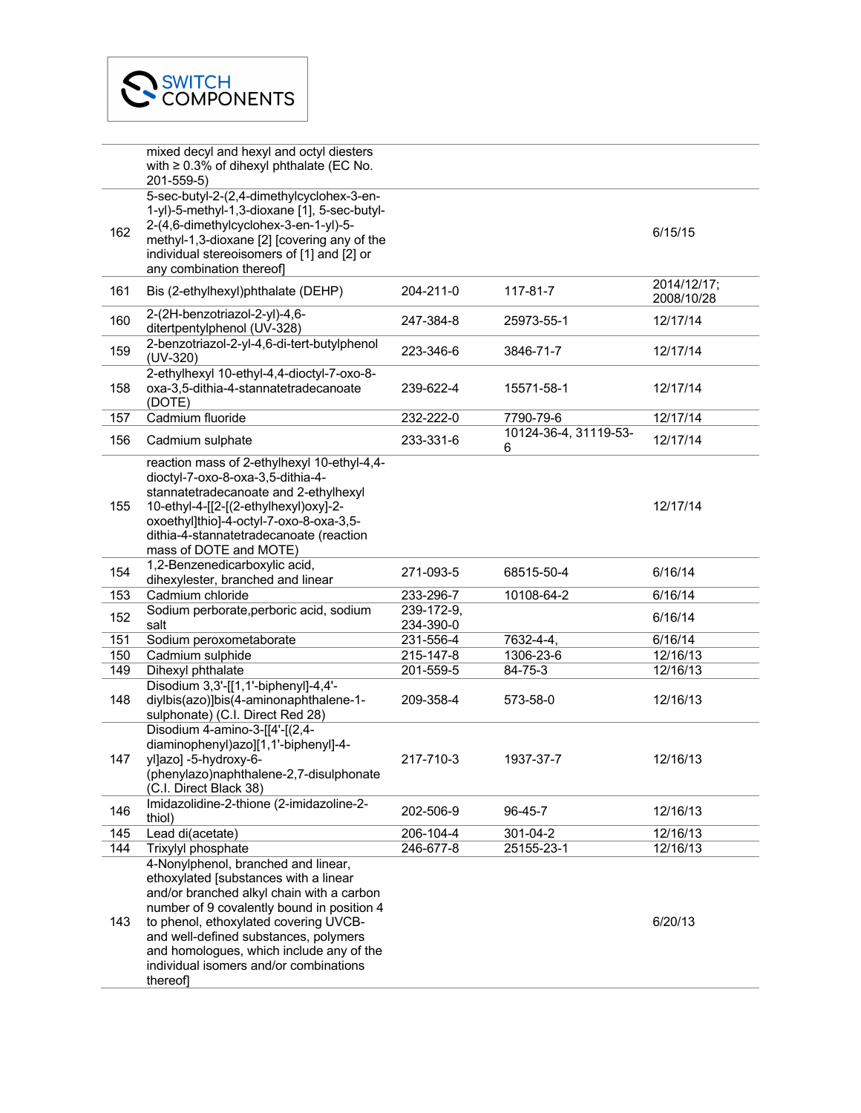|     | mixed decyl and hexyl and octyl diesters<br>with $\geq 0.3\%$ of dihexyl phthalate (EC No.<br>201-559-5)                                                                                                                                                                                                                                                   |                         |                            |                           |
|-----|------------------------------------------------------------------------------------------------------------------------------------------------------------------------------------------------------------------------------------------------------------------------------------------------------------------------------------------------------------|-------------------------|----------------------------|---------------------------|
| 162 | 5-sec-butyl-2-(2,4-dimethylcyclohex-3-en-<br>1-yl)-5-methyl-1,3-dioxane [1], 5-sec-butyl-<br>2-(4,6-dimethylcyclohex-3-en-1-yl)-5-<br>methyl-1,3-dioxane [2] [covering any of the<br>individual stereoisomers of [1] and [2] or<br>any combination thereof]                                                                                                |                         |                            | 6/15/15                   |
| 161 | Bis (2-ethylhexyl)phthalate (DEHP)                                                                                                                                                                                                                                                                                                                         | 204-211-0               | 117-81-7                   | 2014/12/17;<br>2008/10/28 |
| 160 | 2-(2H-benzotriazol-2-yl)-4,6-<br>ditertpentylphenol (UV-328)                                                                                                                                                                                                                                                                                               | 247-384-8               | 25973-55-1                 | 12/17/14                  |
| 159 | 2-benzotriazol-2-yl-4,6-di-tert-butylphenol<br>$(UV-320)$                                                                                                                                                                                                                                                                                                  | 223-346-6               | 3846-71-7                  | 12/17/14                  |
| 158 | 2-ethylhexyl 10-ethyl-4,4-dioctyl-7-oxo-8-<br>oxa-3,5-dithia-4-stannatetradecanoate<br>(DOTE)                                                                                                                                                                                                                                                              | 239-622-4               | 15571-58-1                 | 12/17/14                  |
| 157 | Cadmium fluoride                                                                                                                                                                                                                                                                                                                                           | 232-222-0               | 7790-79-6                  | 12/17/14                  |
| 156 | Cadmium sulphate                                                                                                                                                                                                                                                                                                                                           | 233-331-6               | 10124-36-4, 31119-53-<br>6 | 12/17/14                  |
| 155 | reaction mass of 2-ethylhexyl 10-ethyl-4,4-<br>dioctyl-7-oxo-8-oxa-3,5-dithia-4-<br>stannatetradecanoate and 2-ethylhexyl<br>10-ethyl-4-[[2-[(2-ethylhexyl)oxy]-2-<br>oxoethyl]thio]-4-octyl-7-oxo-8-oxa-3,5-<br>dithia-4-stannatetradecanoate (reaction<br>mass of DOTE and MOTE)                                                                         |                         |                            | 12/17/14                  |
| 154 | 1,2-Benzenedicarboxylic acid,<br>dihexylester, branched and linear                                                                                                                                                                                                                                                                                         | 271-093-5               | 68515-50-4                 | 6/16/14                   |
| 153 | Cadmium chloride                                                                                                                                                                                                                                                                                                                                           | 233-296-7               | 10108-64-2                 | 6/16/14                   |
| 152 | Sodium perborate, perboric acid, sodium<br>salt                                                                                                                                                                                                                                                                                                            | 239-172-9,<br>234-390-0 |                            | 6/16/14                   |
| 151 | Sodium peroxometaborate                                                                                                                                                                                                                                                                                                                                    | 231-556-4               | 7632-4-4,                  | 6/16/14                   |
| 150 | Cadmium sulphide                                                                                                                                                                                                                                                                                                                                           | 215-147-8               | 1306-23-6                  | 12/16/13                  |
| 149 | Dihexyl phthalate                                                                                                                                                                                                                                                                                                                                          | 201-559-5               | 84-75-3                    | 12/16/13                  |
| 148 | Disodium 3,3'-[[1,1'-biphenyl]-4,4'-<br>diylbis(azo)]bis(4-aminonaphthalene-1-<br>sulphonate) (C.I. Direct Red 28)                                                                                                                                                                                                                                         | 209-358-4               | 573-58-0                   | 12/16/13                  |
| 147 | Disodium 4-amino-3-[[4'-[(2,4-<br>diaminophenyl)azo][1,1'-biphenyl]-4-<br>yl]azo] -5-hydroxy-6-<br>(phenylazo)naphthalene-2,7-disulphonate<br>(C.I. Direct Black 38)                                                                                                                                                                                       | 217-710-3               | 1937-37-7                  | 12/16/13                  |
| 146 | Imidazolidine-2-thione (2-imidazoline-2-<br>thiol)                                                                                                                                                                                                                                                                                                         | 202-506-9               | 96-45-7                    | 12/16/13                  |
| 145 | Lead di(acetate)                                                                                                                                                                                                                                                                                                                                           | 206-104-4               | 301-04-2                   | 12/16/13                  |
| 144 | Trixylyl phosphate                                                                                                                                                                                                                                                                                                                                         | 246-677-8               | 25155-23-1                 | 12/16/13                  |
| 143 | 4-Nonylphenol, branched and linear,<br>ethoxylated [substances with a linear<br>and/or branched alkyl chain with a carbon<br>number of 9 covalently bound in position 4<br>to phenol, ethoxylated covering UVCB-<br>and well-defined substances, polymers<br>and homologues, which include any of the<br>individual isomers and/or combinations<br>thereof |                         |                            | 6/20/13                   |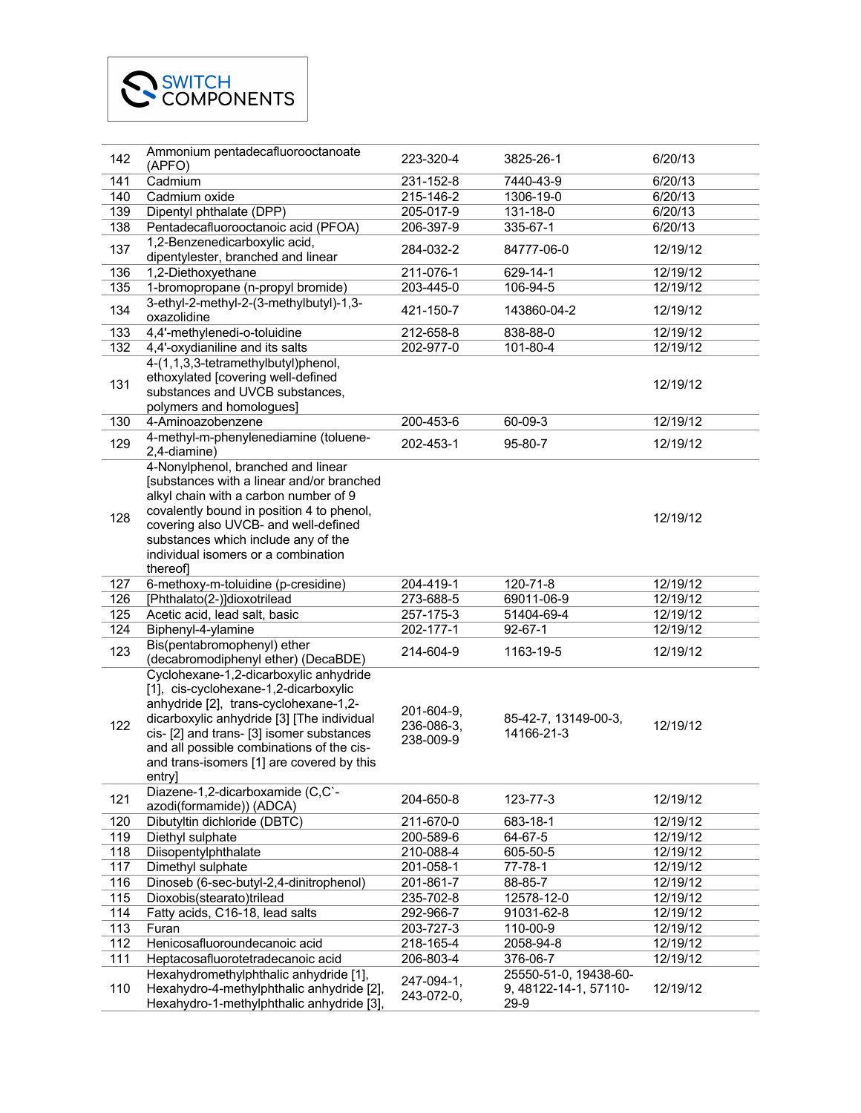| 142 | Ammonium pentadecafluorooctanoate<br>(APFO)                                                                                                                                                                                                                                                                                                                    | 223-320-4                             | 3825-26-1                          | 6/20/13  |
|-----|----------------------------------------------------------------------------------------------------------------------------------------------------------------------------------------------------------------------------------------------------------------------------------------------------------------------------------------------------------------|---------------------------------------|------------------------------------|----------|
| 141 | Cadmium                                                                                                                                                                                                                                                                                                                                                        | 231-152-8                             | 7440-43-9                          | 6/20/13  |
| 140 | Cadmium oxide                                                                                                                                                                                                                                                                                                                                                  | 215-146-2                             | 1306-19-0                          | 6/20/13  |
| 139 | Dipentyl phthalate (DPP)                                                                                                                                                                                                                                                                                                                                       | 205-017-9                             | 131-18-0                           | 6/20/13  |
| 138 | Pentadecafluorooctanoic acid (PFOA)                                                                                                                                                                                                                                                                                                                            | 206-397-9                             | 335-67-1                           | 6/20/13  |
| 137 | 1,2-Benzenedicarboxylic acid,<br>dipentylester, branched and linear                                                                                                                                                                                                                                                                                            | 284-032-2                             | 84777-06-0                         | 12/19/12 |
| 136 | 1,2-Diethoxyethane                                                                                                                                                                                                                                                                                                                                             | 211-076-1                             | 629-14-1                           | 12/19/12 |
| 135 | 1-bromopropane (n-propyl bromide)                                                                                                                                                                                                                                                                                                                              | 203-445-0                             | 106-94-5                           | 12/19/12 |
| 134 | 3-ethyl-2-methyl-2-(3-methylbutyl)-1,3-<br>oxazolidine                                                                                                                                                                                                                                                                                                         | 421-150-7                             | 143860-04-2                        | 12/19/12 |
| 133 | 4,4'-methylenedi-o-toluidine                                                                                                                                                                                                                                                                                                                                   | 212-658-8                             | 838-88-0                           | 12/19/12 |
| 132 | 4,4'-oxydianiline and its salts                                                                                                                                                                                                                                                                                                                                | 202-977-0                             | 101-80-4                           | 12/19/12 |
| 131 | 4-(1,1,3,3-tetramethylbutyl)phenol,<br>ethoxylated [covering well-defined<br>substances and UVCB substances,<br>polymers and homologues]                                                                                                                                                                                                                       |                                       |                                    | 12/19/12 |
| 130 | 4-Aminoazobenzene                                                                                                                                                                                                                                                                                                                                              | 200-453-6                             | 60-09-3                            | 12/19/12 |
|     | 4-methyl-m-phenylenediamine (toluene-                                                                                                                                                                                                                                                                                                                          |                                       |                                    |          |
| 129 | 2,4-diamine)                                                                                                                                                                                                                                                                                                                                                   | 202-453-1                             | 95-80-7                            | 12/19/12 |
| 128 | 4-Nonylphenol, branched and linear<br>[substances with a linear and/or branched<br>alkyl chain with a carbon number of 9<br>covalently bound in position 4 to phenol,<br>covering also UVCB- and well-defined<br>substances which include any of the<br>individual isomers or a combination<br>thereof                                                         |                                       |                                    | 12/19/12 |
| 127 | 6-methoxy-m-toluidine (p-cresidine)                                                                                                                                                                                                                                                                                                                            | 204-419-1                             | 120-71-8                           | 12/19/12 |
| 126 | [Phthalato(2-)]dioxotrilead                                                                                                                                                                                                                                                                                                                                    | 273-688-5                             | 69011-06-9                         | 12/19/12 |
| 125 | Acetic acid, lead salt, basic                                                                                                                                                                                                                                                                                                                                  | 257-175-3                             | 51404-69-4                         | 12/19/12 |
| 124 | Biphenyl-4-ylamine                                                                                                                                                                                                                                                                                                                                             | 202-177-1                             | $92 - 67 - 1$                      | 12/19/12 |
| 123 | Bis(pentabromophenyl) ether                                                                                                                                                                                                                                                                                                                                    | 214-604-9                             | 1163-19-5                          | 12/19/12 |
| 122 | (decabromodiphenyl ether) (DecaBDE)<br>Cyclohexane-1,2-dicarboxylic anhydride<br>[1], cis-cyclohexane-1,2-dicarboxylic<br>anhydride [2], trans-cyclohexane-1,2-<br>dicarboxylic anhydride [3] [The individual<br>cis- [2] and trans- [3] isomer substances<br>and all possible combinations of the cis-<br>and trans-isomers [1] are covered by this<br>entry] | 201-604-9,<br>236-086-3,<br>238-009-9 | 85-42-7, 13149-00-3,<br>14166-21-3 | 12/19/12 |
| 121 | Diazene-1,2-dicarboxamide (C,C`-<br>azodi(formamide)) (ADCA)                                                                                                                                                                                                                                                                                                   | 204-650-8                             | 123-77-3                           | 12/19/12 |
| 120 |                                                                                                                                                                                                                                                                                                                                                                |                                       |                                    |          |
| 119 | Dibutyltin dichloride (DBTC)                                                                                                                                                                                                                                                                                                                                   | 211-670-0                             | 683-18-1                           | 12/19/12 |
|     | Diethyl sulphate                                                                                                                                                                                                                                                                                                                                               | 200-589-6                             | 64-67-5                            | 12/19/12 |
| 118 | Diisopentylphthalate                                                                                                                                                                                                                                                                                                                                           | 210-088-4                             | 605-50-5                           | 12/19/12 |
| 117 | Dimethyl sulphate                                                                                                                                                                                                                                                                                                                                              | 201-058-1                             | 77-78-1                            | 12/19/12 |
| 116 | Dinoseb (6-sec-butyl-2,4-dinitrophenol)                                                                                                                                                                                                                                                                                                                        | 201-861-7                             | 88-85-7                            | 12/19/12 |
| 115 | Dioxobis(stearato)trilead                                                                                                                                                                                                                                                                                                                                      | 235-702-8                             | 12578-12-0                         | 12/19/12 |
| 114 | Fatty acids, C16-18, lead salts                                                                                                                                                                                                                                                                                                                                | 292-966-7                             | 91031-62-8                         | 12/19/12 |
| 113 | Furan                                                                                                                                                                                                                                                                                                                                                          | 203-727-3                             | 110-00-9                           | 12/19/12 |
| 112 | Henicosafluoroundecanoic acid                                                                                                                                                                                                                                                                                                                                  | 218-165-4                             | 2058-94-8                          | 12/19/12 |
| 111 | Heptacosafluorotetradecanoic acid<br>Hexahydromethylphthalic anhydride [1],                                                                                                                                                                                                                                                                                    | 206-803-4                             | 376-06-7<br>25550-51-0, 19438-60-  | 12/19/12 |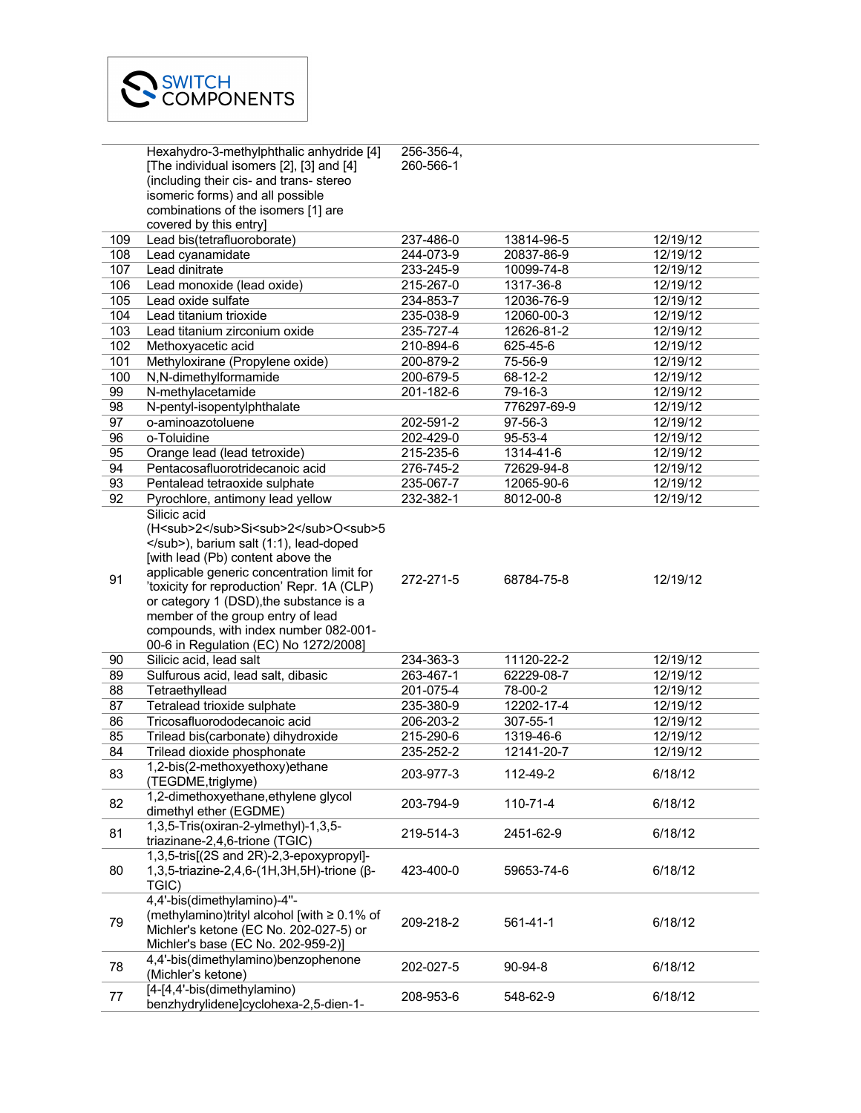|     | Hexahydro-3-methylphthalic anhydride [4]                                                                                                                                                | 256-356-4, |                  |          |
|-----|-----------------------------------------------------------------------------------------------------------------------------------------------------------------------------------------|------------|------------------|----------|
|     | [The individual isomers [2], [3] and [4]                                                                                                                                                | 260-566-1  |                  |          |
|     | (including their cis- and trans- stereo                                                                                                                                                 |            |                  |          |
|     | isomeric forms) and all possible                                                                                                                                                        |            |                  |          |
|     | combinations of the isomers [1] are                                                                                                                                                     |            |                  |          |
|     | covered by this entry]                                                                                                                                                                  |            |                  |          |
| 109 | Lead bis(tetrafluoroborate)                                                                                                                                                             | 237-486-0  | 13814-96-5       | 12/19/12 |
| 108 | Lead cyanamidate                                                                                                                                                                        | 244-073-9  | 20837-86-9       | 12/19/12 |
| 107 | Lead dinitrate                                                                                                                                                                          | 233-245-9  | 10099-74-8       | 12/19/12 |
| 106 | Lead monoxide (lead oxide)                                                                                                                                                              | 215-267-0  | 1317-36-8        | 12/19/12 |
| 105 | Lead oxide sulfate                                                                                                                                                                      | 234-853-7  | 12036-76-9       | 12/19/12 |
| 104 | Lead titanium trioxide                                                                                                                                                                  | 235-038-9  | 12060-00-3       | 12/19/12 |
| 103 | Lead titanium zirconium oxide                                                                                                                                                           | 235-727-4  | 12626-81-2       | 12/19/12 |
| 102 | Methoxyacetic acid                                                                                                                                                                      | 210-894-6  | 625-45-6         | 12/19/12 |
| 101 | Methyloxirane (Propylene oxide)                                                                                                                                                         | 200-879-2  | 75-56-9          | 12/19/12 |
| 100 | N,N-dimethylformamide                                                                                                                                                                   | 200-679-5  | 68-12-2          | 12/19/12 |
| 99  | N-methylacetamide                                                                                                                                                                       | 201-182-6  | 79-16-3          | 12/19/12 |
| 98  | N-pentyl-isopentylphthalate                                                                                                                                                             |            | 776297-69-9      | 12/19/12 |
| 97  | o-aminoazotoluene                                                                                                                                                                       | 202-591-2  | 97-56-3          | 12/19/12 |
| 96  | o-Toluidine                                                                                                                                                                             | 202-429-0  | $95 - 53 - 4$    | 12/19/12 |
| 95  | Orange lead (lead tetroxide)                                                                                                                                                            | 215-235-6  | 1314-41-6        | 12/19/12 |
| 94  | Pentacosafluorotridecanoic acid                                                                                                                                                         | 276-745-2  | 72629-94-8       | 12/19/12 |
| 93  | Pentalead tetraoxide sulphate                                                                                                                                                           | 235-067-7  | 12065-90-6       | 12/19/12 |
| 92  | Pyrochlore, antimony lead yellow                                                                                                                                                        | 232-382-1  | 8012-00-8        | 12/19/12 |
|     | Silicic acid<br>(H <sub>2</sub> Si <sub>2</sub> O <sub>5<br/></sub> ), barium salt (1:1), lead-doped<br>[with lead (Pb) content above the<br>applicable generic concentration limit for |            |                  |          |
| 91  | 'toxicity for reproduction' Repr. 1A (CLP)<br>or category 1 (DSD), the substance is a<br>member of the group entry of lead<br>compounds, with index number 082-001-                     | 272-271-5  | 68784-75-8       | 12/19/12 |
|     | 00-6 in Regulation (EC) No 1272/2008]                                                                                                                                                   |            |                  |          |
| 90  | Silicic acid, lead salt                                                                                                                                                                 | 234-363-3  | 11120-22-2       | 12/19/12 |
| 89  | Sulfurous acid, lead salt, dibasic                                                                                                                                                      | 263-467-1  | 62229-08-7       | 12/19/12 |
| 88  | Tetraethyllead                                                                                                                                                                          | 201-075-4  | 78-00-2          | 12/19/12 |
| 87  | Tetralead trioxide sulphate                                                                                                                                                             | 235-380-9  | 12202-17-4       | 12/19/12 |
| 86  | Tricosafluorododecanoic acid                                                                                                                                                            | 206-203-2  | 307-55-1         | 12/19/12 |
| 85  | Trilead bis(carbonate) dihydroxide                                                                                                                                                      | 215-290-6  | 1319-46-6        | 12/19/12 |
| 84  | Trilead dioxide phosphonate                                                                                                                                                             | 235-252-2  | $12141 - 20 - 7$ | 12/19/12 |
| 83  | 1,2-bis(2-methoxyethoxy)ethane<br>(TEGDME, triglyme)                                                                                                                                    | 203-977-3  | 112-49-2         | 6/18/12  |
| 82  | 1,2-dimethoxyethane, ethylene glycol<br>dimethyl ether (EGDME)                                                                                                                          | 203-794-9  | 110-71-4         | 6/18/12  |
| 81  | 1,3,5-Tris(oxiran-2-ylmethyl)-1,3,5-<br>triazinane-2,4,6-trione (TGIC)                                                                                                                  | 219-514-3  | 2451-62-9        | 6/18/12  |
| 80  | 1,3,5-tris[(2S and 2R)-2,3-epoxypropyl]-<br>1,3,5-triazine-2,4,6-(1H,3H,5H)-trione (β-<br>TGIC)                                                                                         | 423-400-0  | 59653-74-6       | 6/18/12  |
| 79  | 4,4'-bis(dimethylamino)-4"-<br>(methylamino)trityl alcohol [with $\geq 0.1\%$ of<br>Michler's ketone (EC No. 202-027-5) or<br>Michler's base (EC No. 202-959-2)]                        | 209-218-2  | 561-41-1         | 6/18/12  |
| 78  | 4,4'-bis(dimethylamino)benzophenone<br>(Michler's ketone)                                                                                                                               | 202-027-5  | $90-94-8$        | 6/18/12  |
| 77  | [4-[4,4'-bis(dimethylamino)<br>benzhydrylidene]cyclohexa-2,5-dien-1-                                                                                                                    | 208-953-6  | 548-62-9         | 6/18/12  |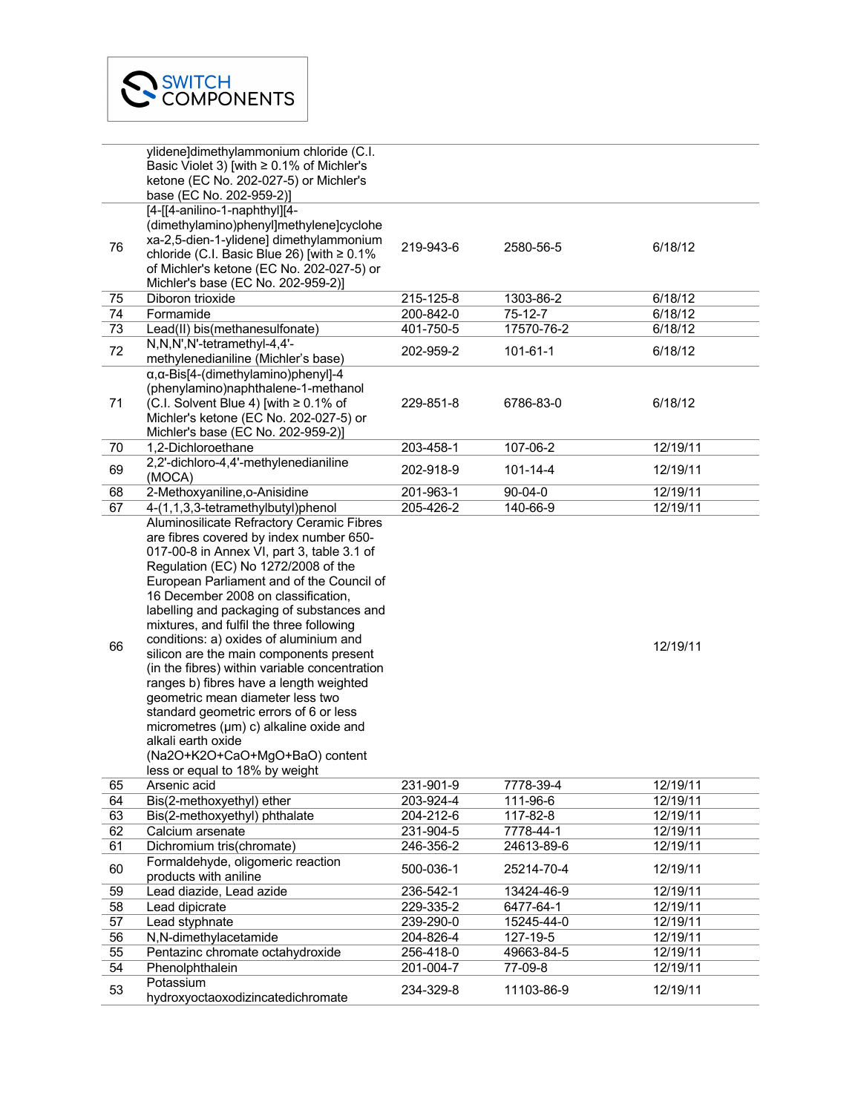|    | ylidene]dimethylammonium chloride (C.I.                                    |           |                |          |
|----|----------------------------------------------------------------------------|-----------|----------------|----------|
|    | Basic Violet 3) [with ≥ 0.1% of Michler's                                  |           |                |          |
|    | ketone (EC No. 202-027-5) or Michler's                                     |           |                |          |
|    | base (EC No. 202-959-2)]                                                   |           |                |          |
|    | [4-[[4-anilino-1-naphthyl][4-                                              |           |                |          |
|    | (dimethylamino)phenyl]methylene]cyclohe                                    |           |                |          |
|    | xa-2,5-dien-1-ylidene] dimethylammonium                                    |           |                |          |
| 76 | chloride (C.I. Basic Blue 26) [with $\geq 0.1\%$                           | 219-943-6 | 2580-56-5      | 6/18/12  |
|    | of Michler's ketone (EC No. 202-027-5) or                                  |           |                |          |
|    | Michler's base (EC No. 202-959-2)]                                         |           |                |          |
| 75 | Diboron trioxide                                                           | 215-125-8 | 1303-86-2      | 6/18/12  |
| 74 | Formamide                                                                  | 200-842-0 | $75 - 12 - 7$  | 6/18/12  |
|    |                                                                            | 401-750-5 |                |          |
| 73 | Lead(II) bis(methanesulfonate)                                             |           | 17570-76-2     | 6/18/12  |
| 72 | N,N,N',N'-tetramethyl-4,4'-                                                | 202-959-2 | 101-61-1       | 6/18/12  |
|    | methylenedianiline (Michler's base)                                        |           |                |          |
|    | $\alpha$ , $\alpha$ -Bis[4-(dimethylamino)phenyl]-4                        |           |                |          |
|    | (phenylamino)naphthalene-1-methanol                                        |           |                |          |
| 71 | (C.I. Solvent Blue 4) [with $\geq 0.1\%$ of                                | 229-851-8 | 6786-83-0      | 6/18/12  |
|    | Michler's ketone (EC No. 202-027-5) or                                     |           |                |          |
|    | Michler's base (EC No. 202-959-2)]                                         |           |                |          |
| 70 | 1,2-Dichloroethane                                                         | 203-458-1 | 107-06-2       | 12/19/11 |
| 69 | 2,2'-dichloro-4,4'-methylenedianiline                                      | 202-918-9 | $101 - 14 - 4$ | 12/19/11 |
|    | (MOCA)                                                                     |           |                |          |
| 68 | 2-Methoxyaniline, o-Anisidine                                              | 201-963-1 | $90 - 04 - 0$  | 12/19/11 |
| 67 | 4-(1,1,3,3-tetramethylbutyl)phenol                                         | 205-426-2 | 140-66-9       | 12/19/11 |
|    | Aluminosilicate Refractory Ceramic Fibres                                  |           |                |          |
|    | are fibres covered by index number 650-                                    |           |                |          |
|    | 017-00-8 in Annex VI, part 3, table 3.1 of                                 |           |                |          |
|    | Regulation (EC) No 1272/2008 of the                                        |           |                |          |
|    | European Parliament and of the Council of                                  |           |                |          |
|    | 16 December 2008 on classification,                                        |           |                |          |
|    | labelling and packaging of substances and                                  |           |                |          |
|    | mixtures, and fulfil the three following                                   |           |                |          |
|    | conditions: a) oxides of aluminium and                                     |           |                |          |
| 66 | silicon are the main components present                                    |           |                | 12/19/11 |
|    | (in the fibres) within variable concentration                              |           |                |          |
|    | ranges b) fibres have a length weighted                                    |           |                |          |
|    |                                                                            |           |                |          |
|    | geometric mean diameter less two<br>standard geometric errors of 6 or less |           |                |          |
|    |                                                                            |           |                |          |
|    | micrometres (µm) c) alkaline oxide and                                     |           |                |          |
|    | alkali earth oxide                                                         |           |                |          |
|    | (Na2O+K2O+CaO+MgO+BaO) content                                             |           |                |          |
|    | less or equal to 18% by weight                                             |           |                |          |
| 65 | Arsenic acid                                                               | 231-901-9 | 7778-39-4      | 12/19/11 |
| 64 | Bis(2-methoxyethyl) ether                                                  | 203-924-4 | 111-96-6       | 12/19/11 |
| 63 | Bis(2-methoxyethyl) phthalate                                              | 204-212-6 | 117-82-8       | 12/19/11 |
| 62 | Calcium arsenate                                                           | 231-904-5 | 7778-44-1      | 12/19/11 |
| 61 | Dichromium tris(chromate)                                                  | 246-356-2 | 24613-89-6     | 12/19/11 |
| 60 | Formaldehyde, oligomeric reaction                                          | 500-036-1 | 25214-70-4     | 12/19/11 |
|    | products with aniline                                                      |           |                |          |
| 59 | Lead diazide, Lead azide                                                   | 236-542-1 | 13424-46-9     | 12/19/11 |
| 58 | Lead dipicrate                                                             | 229-335-2 | 6477-64-1      | 12/19/11 |
| 57 | Lead styphnate                                                             | 239-290-0 | 15245-44-0     | 12/19/11 |
| 56 | N,N-dimethylacetamide                                                      | 204-826-4 | 127-19-5       | 12/19/11 |
| 55 | Pentazinc chromate octahydroxide                                           | 256-418-0 | 49663-84-5     | 12/19/11 |
| 54 | Phenolphthalein                                                            | 201-004-7 | 77-09-8        | 12/19/11 |
|    | Potassium                                                                  |           |                |          |
| 53 | hydroxyoctaoxodizincatedichromate                                          | 234-329-8 | 11103-86-9     | 12/19/11 |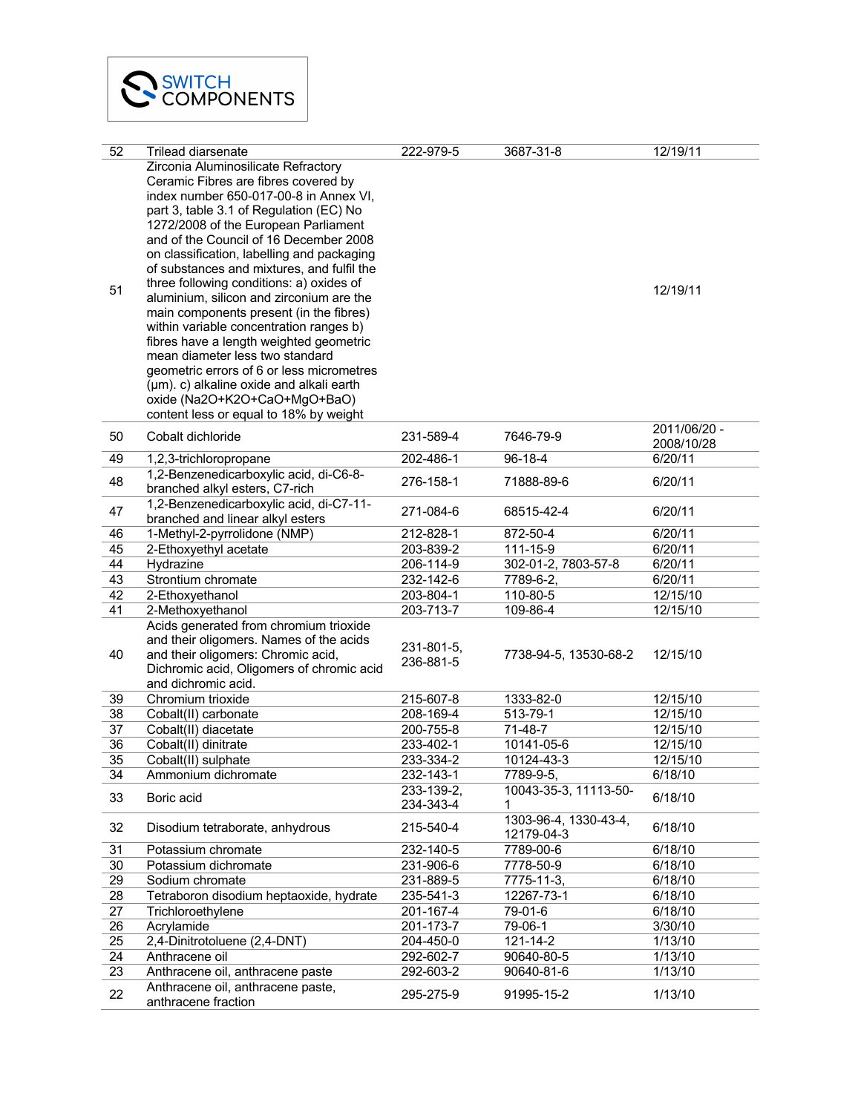| 52              | Trilead diarsenate                         | 222-979-5  | 3687-31-8             | 12/19/11     |
|-----------------|--------------------------------------------|------------|-----------------------|--------------|
|                 | Zirconia Aluminosilicate Refractory        |            |                       |              |
|                 | Ceramic Fibres are fibres covered by       |            |                       |              |
|                 | index number 650-017-00-8 in Annex VI,     |            |                       |              |
|                 | part 3, table 3.1 of Regulation (EC) No    |            |                       |              |
|                 | 1272/2008 of the European Parliament       |            |                       |              |
|                 | and of the Council of 16 December 2008     |            |                       |              |
|                 | on classification, labelling and packaging |            |                       |              |
|                 | of substances and mixtures, and fulfil the |            |                       |              |
|                 | three following conditions: a) oxides of   |            |                       |              |
| 51              | aluminium, silicon and zirconium are the   |            |                       | 12/19/11     |
|                 | main components present (in the fibres)    |            |                       |              |
|                 | within variable concentration ranges b)    |            |                       |              |
|                 | fibres have a length weighted geometric    |            |                       |              |
|                 | mean diameter less two standard            |            |                       |              |
|                 | geometric errors of 6 or less micrometres  |            |                       |              |
|                 | (µm). c) alkaline oxide and alkali earth   |            |                       |              |
|                 | oxide (Na2O+K2O+CaO+MgO+BaO)               |            |                       |              |
|                 | content less or equal to 18% by weight     |            |                       |              |
|                 |                                            |            |                       | 2011/06/20 - |
| 50              | Cobalt dichloride                          | 231-589-4  | 7646-79-9             | 2008/10/28   |
| 49              | 1,2,3-trichloropropane                     | 202-486-1  | 96-18-4               | 6/20/11      |
|                 | 1,2-Benzenedicarboxylic acid, di-C6-8-     |            |                       |              |
| 48              | branched alkyl esters, C7-rich             | 276-158-1  | 71888-89-6            | 6/20/11      |
|                 | 1,2-Benzenedicarboxylic acid, di-C7-11-    |            |                       |              |
| 47              | branched and linear alkyl esters           | 271-084-6  | 68515-42-4            | 6/20/11      |
| 46              | 1-Methyl-2-pyrrolidone (NMP)               | 212-828-1  | 872-50-4              | 6/20/11      |
| 45              | 2-Ethoxyethyl acetate                      | 203-839-2  | 111-15-9              | 6/20/11      |
| 44              | Hydrazine                                  | 206-114-9  | 302-01-2, 7803-57-8   | 6/20/11      |
| 43              | Strontium chromate                         | 232-142-6  | 7789-6-2,             | 6/20/11      |
| 42              | 2-Ethoxyethanol                            | 203-804-1  | 110-80-5              | 12/15/10     |
| 41              | 2-Methoxyethanol                           | 203-713-7  | 109-86-4              | 12/15/10     |
|                 | Acids generated from chromium trioxide     |            |                       |              |
|                 | and their oligomers. Names of the acids    |            |                       |              |
| 40              | and their oligomers: Chromic acid,         | 231-801-5, | 7738-94-5, 13530-68-2 | 12/15/10     |
|                 | Dichromic acid, Oligomers of chromic acid  | 236-881-5  |                       |              |
|                 | and dichromic acid.                        |            |                       |              |
| 39              | Chromium trioxide                          | 215-607-8  | 1333-82-0             | 12/15/10     |
| 38              | Cobalt(II) carbonate                       | 208-169-4  | 513-79-1              | 12/15/10     |
| 37              | Cobalt(II) diacetate                       | 200-755-8  | 71-48-7               | 12/15/10     |
| 36              | Cobalt(II) dinitrate                       | 233-402-1  | 10141-05-6            | 12/15/10     |
| $\overline{35}$ | Cobalt(II) sulphate                        | 233-334-2  | $10124 - 43 - 3$      | 12/15/10     |
| 34              | Ammonium dichromate                        | 232-143-1  | 7789-9-5,             | 6/18/10      |
|                 |                                            | 233-139-2, | 10043-35-3, 11113-50- |              |
| 33              | Boric acid                                 | 234-343-4  | 1                     | 6/18/10      |
|                 |                                            |            | 1303-96-4, 1330-43-4, |              |
| 32              | Disodium tetraborate, anhydrous            | 215-540-4  | 12179-04-3            | 6/18/10      |
| 31              | Potassium chromate                         | 232-140-5  | 7789-00-6             | 6/18/10      |
| 30              | Potassium dichromate                       | 231-906-6  | 7778-50-9             | 6/18/10      |
| 29              | Sodium chromate                            | 231-889-5  | 7775-11-3,            | 6/18/10      |
| 28              | Tetraboron disodium heptaoxide, hydrate    | 235-541-3  | 12267-73-1            | 6/18/10      |
| 27              | Trichloroethylene                          | 201-167-4  | 79-01-6               | 6/18/10      |
| 26              | Acrylamide                                 | 201-173-7  | 79-06-1               | 3/30/10      |
| 25              | 2,4-Dinitrotoluene (2,4-DNT)               | 204-450-0  | $121 - 14 - 2$        | 1/13/10      |
| 24              | Anthracene oil                             | 292-602-7  | 90640-80-5            | 1/13/10      |
| 23              | Anthracene oil, anthracene paste           | 292-603-2  | 90640-81-6            | 1/13/10      |
|                 | Anthracene oil, anthracene paste,          |            |                       |              |
| 22              | anthracene fraction                        | 295-275-9  | 91995-15-2            | 1/13/10      |